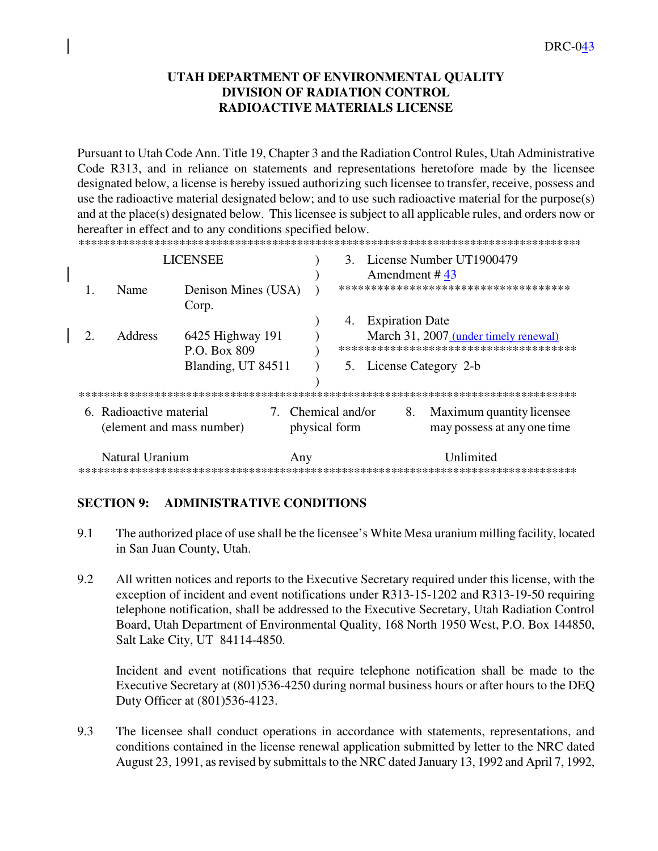# **UTAH DEPARTMENT OF ENVIRONMENTAL QUALITY DIVISION OF RADIATION CONTROL RADIOACTIVE MATERIALS LICENSE**

Pursuant to Utah Code Ann. Title 19, Chapter 3 and the Radiation Control Rules, Utah Administrative Code R313, and in reliance on statements and representations heretofore made by the licensee designated below, a license is hereby issued authorizing such licensee to transfer, receive, possess and use the radioactive material designated below; and to use such radioactive material for the purpose(s) and at the place(s) designated below. This licensee is subject to all applicable rules, and orders now or hereafter in effect and to any conditions specified below.

| <b>LICENSEE</b> |                                                      |                     |                                                                                 | $3_{-}$                             |                        |  | License Number UT1900479                                 |  |  |
|-----------------|------------------------------------------------------|---------------------|---------------------------------------------------------------------------------|-------------------------------------|------------------------|--|----------------------------------------------------------|--|--|
|                 |                                                      |                     |                                                                                 |                                     | Amendment # $43$       |  |                                                          |  |  |
|                 | Name                                                 | Denison Mines (USA) |                                                                                 |                                     |                        |  | *************************************                    |  |  |
|                 |                                                      | Corp.               |                                                                                 | 4.                                  | <b>Expiration Date</b> |  |                                                          |  |  |
|                 | <b>Address</b>                                       |                     | March 31, 2007 (under timely renewal)<br>************************************** |                                     |                        |  |                                                          |  |  |
|                 |                                                      | Blanding, UT 84511  |                                                                                 |                                     |                        |  | 5. License Category 2-b                                  |  |  |
|                 |                                                      |                     |                                                                                 |                                     |                        |  |                                                          |  |  |
|                 | 6. Radioactive material<br>(element and mass number) |                     |                                                                                 | 7. Chemical and/or<br>physical form |                        |  | Maximum quantity licensee<br>may possess at any one time |  |  |
|                 | Natural Uranium<br>Any                               |                     |                                                                                 |                                     |                        |  | I Inlimited                                              |  |  |

### **SECTION 9: ADMINISTRATIVE CONDITIONS**

- 9.1 The authorized place of use shall be the licensee's White Mesa uranium milling facility, located in San Juan County, Utah.
- 9.2 All written notices and reports to the Executive Secretary required under this license, with the exception of incident and event notifications under R313-15-1202 and R313-19-50 requiring telephone notification, shall be addressed to the Executive Secretary, Utah Radiation Control Board, Utah Department of Environmental Quality, 168 North 1950 West, P.O. Box 144850, Salt Lake City, UT 84114-4850.

Incident and event notifications that require telephone notification shall be made to the Executive Secretary at (801)536-4250 during normal business hours or after hours to the DEQ Duty Officer at (801)536-4123.

9.3 The licensee shall conduct operations in accordance with statements, representations, and conditions contained in the license renewal application submitted by letter to the NRC dated August 23, 1991, as revised by submittals to the NRC dated January 13, 1992 and April 7, 1992,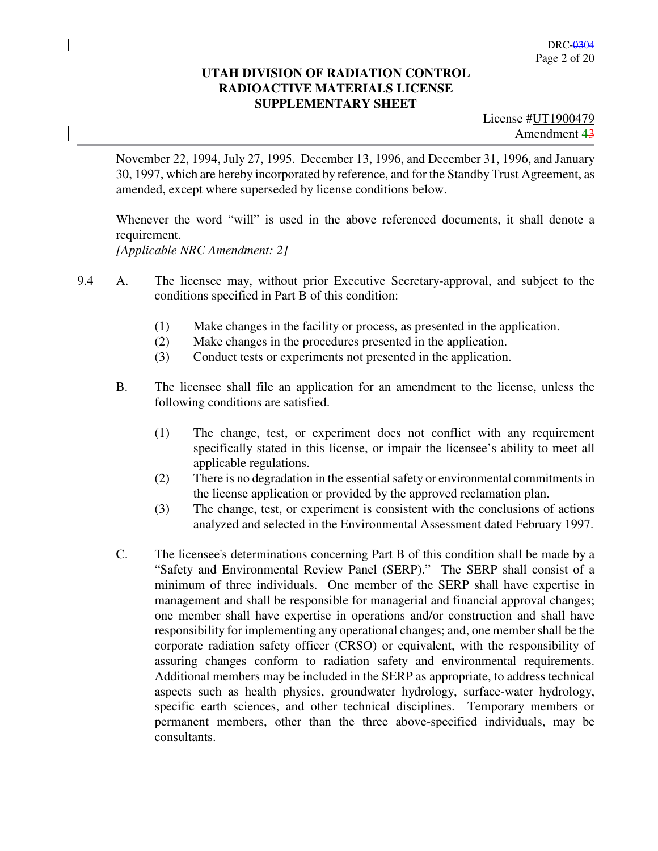November 22, 1994, July 27, 1995. December 13, 1996, and December 31, 1996, and January 30, 1997, which are hereby incorporated by reference, and for the Standby Trust Agreement, as amended, except where superseded by license conditions below.

Whenever the word "will" is used in the above referenced documents, it shall denote a requirement.

*[Applicable NRC Amendment: 2]* 

- 9.4 A. The licensee may, without prior Executive Secretary-approval, and subject to the conditions specified in Part B of this condition:
	- (1) Make changes in the facility or process, as presented in the application.
	- (2) Make changes in the procedures presented in the application.
	- (3) Conduct tests or experiments not presented in the application.
	- B. The licensee shall file an application for an amendment to the license, unless the following conditions are satisfied.
		- (1) The change, test, or experiment does not conflict with any requirement specifically stated in this license, or impair the licensee's ability to meet all applicable regulations.
		- (2) There is no degradation in the essential safety or environmental commitments in the license application or provided by the approved reclamation plan.
		- (3) The change, test, or experiment is consistent with the conclusions of actions analyzed and selected in the Environmental Assessment dated February 1997.
	- C. The licensee's determinations concerning Part B of this condition shall be made by a "Safety and Environmental Review Panel (SERP)." The SERP shall consist of a minimum of three individuals. One member of the SERP shall have expertise in management and shall be responsible for managerial and financial approval changes; one member shall have expertise in operations and/or construction and shall have responsibility for implementing any operational changes; and, one member shall be the corporate radiation safety officer (CRSO) or equivalent, with the responsibility of assuring changes conform to radiation safety and environmental requirements. Additional members may be included in the SERP as appropriate, to address technical aspects such as health physics, groundwater hydrology, surface-water hydrology, specific earth sciences, and other technical disciplines. Temporary members or permanent members, other than the three above-specified individuals, may be consultants.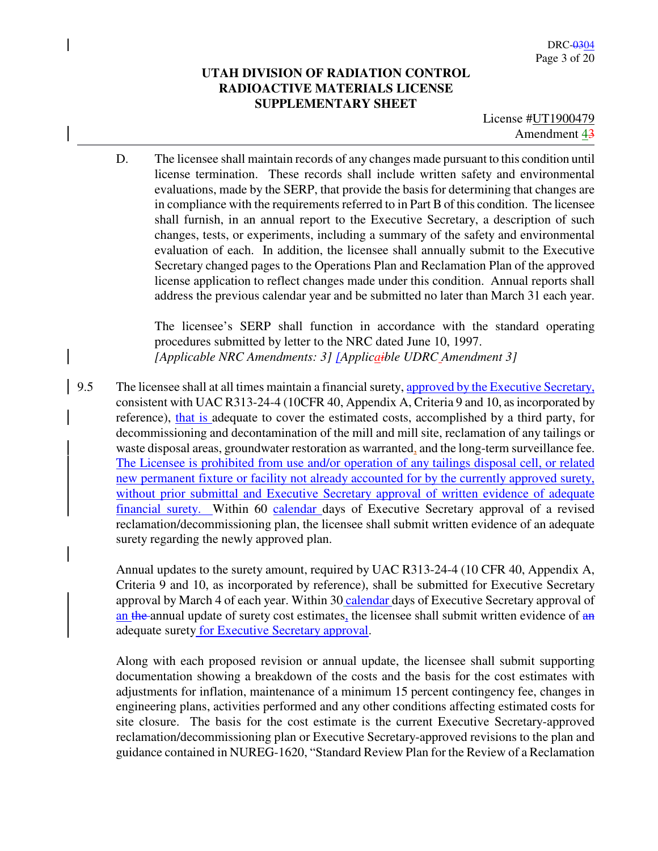License #UT1900479 Amendment 43

D. The licensee shall maintain records of any changes made pursuant to this condition until license termination. These records shall include written safety and environmental evaluations, made by the SERP, that provide the basis for determining that changes are in compliance with the requirements referred to in Part B of this condition. The licensee shall furnish, in an annual report to the Executive Secretary, a description of such changes, tests, or experiments, including a summary of the safety and environmental evaluation of each. In addition, the licensee shall annually submit to the Executive Secretary changed pages to the Operations Plan and Reclamation Plan of the approved license application to reflect changes made under this condition. Annual reports shall address the previous calendar year and be submitted no later than March 31 each year.

The licensee's SERP shall function in accordance with the standard operating procedures submitted by letter to the NRC dated June 10, 1997. *[Applicable NRC Amendments: 3] [Applicaible UDRC Amendment 3]* 

9.5 The licensee shall at all times maintain a financial surety, approved by the Executive Secretary, consistent with UAC R313-24-4 (10CFR 40, Appendix A, Criteria 9 and 10, as incorporated by reference), that is adequate to cover the estimated costs, accomplished by a third party, for decommissioning and decontamination of the mill and mill site, reclamation of any tailings or waste disposal areas, groundwater restoration as warranted, and the long-term surveillance fee. The Licensee is prohibited from use and/or operation of any tailings disposal cell, or related new permanent fixture or facility not already accounted for by the currently approved surety, without prior submittal and Executive Secretary approval of written evidence of adequate financial surety. Within 60 calendar days of Executive Secretary approval of a revised reclamation/decommissioning plan, the licensee shall submit written evidence of an adequate surety regarding the newly approved plan.

Annual updates to the surety amount, required by UAC R313-24-4 (10 CFR 40, Appendix A, Criteria 9 and 10, as incorporated by reference), shall be submitted for Executive Secretary approval by March 4 of each year. Within 30 calendar days of Executive Secretary approval of an the annual update of surety cost estimates, the licensee shall submit written evidence of an adequate surety for Executive Secretary approval.

Along with each proposed revision or annual update, the licensee shall submit supporting documentation showing a breakdown of the costs and the basis for the cost estimates with adjustments for inflation, maintenance of a minimum 15 percent contingency fee, changes in engineering plans, activities performed and any other conditions affecting estimated costs for site closure. The basis for the cost estimate is the current Executive Secretary-approved reclamation/decommissioning plan or Executive Secretary-approved revisions to the plan and guidance contained in NUREG-1620, "Standard Review Plan for the Review of a Reclamation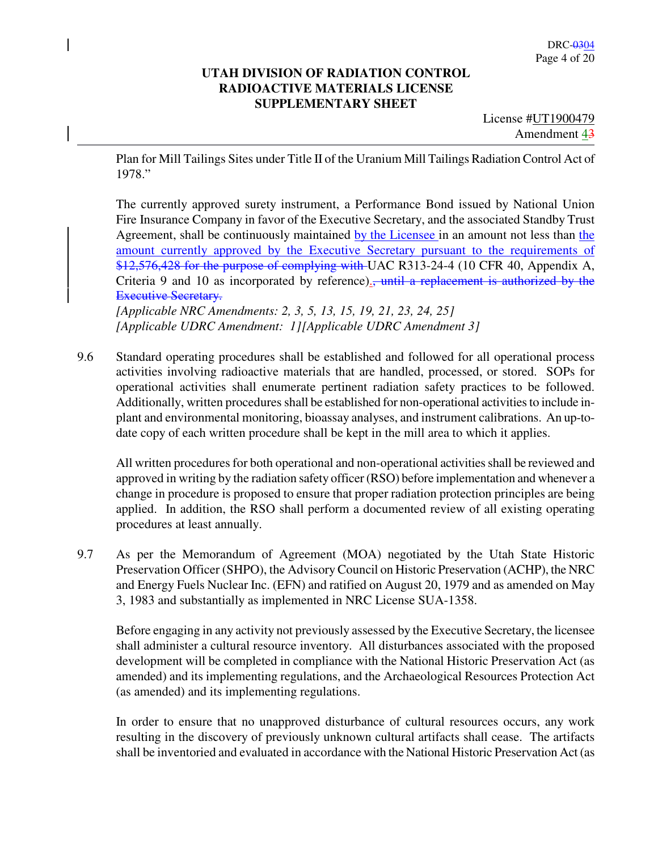License #UT1900479 Amendment 43

Plan for Mill Tailings Sites under Title II of the Uranium Mill Tailings Radiation Control Act of 1978."

The currently approved surety instrument, a Performance Bond issued by National Union Fire Insurance Company in favor of the Executive Secretary, and the associated Standby Trust Agreement, shall be continuously maintained by the Licensee in an amount not less than the amount currently approved by the Executive Secretary pursuant to the requirements of \$12,576,428 for the purpose of complying with UAC R313-24-4 (10 CFR 40, Appendix A, Criteria 9 and 10 as incorporated by reference).<del>, until a replacement is authorized by the</del> Executive Secretary.

*[Applicable NRC Amendments: 2, 3, 5, 13, 15, 19, 21, 23, 24, 25] [Applicable UDRC Amendment: 1][Applicable UDRC Amendment 3]*

9.6 Standard operating procedures shall be established and followed for all operational process activities involving radioactive materials that are handled, processed, or stored. SOPs for operational activities shall enumerate pertinent radiation safety practices to be followed. Additionally, written procedures shall be established for non-operational activities to include inplant and environmental monitoring, bioassay analyses, and instrument calibrations. An up-todate copy of each written procedure shall be kept in the mill area to which it applies.

All written procedures for both operational and non-operational activities shall be reviewed and approved in writing by the radiation safety officer (RSO) before implementation and whenever a change in procedure is proposed to ensure that proper radiation protection principles are being applied. In addition, the RSO shall perform a documented review of all existing operating procedures at least annually.

9.7 As per the Memorandum of Agreement (MOA) negotiated by the Utah State Historic Preservation Officer (SHPO), the Advisory Council on Historic Preservation (ACHP), the NRC and Energy Fuels Nuclear Inc. (EFN) and ratified on August 20, 1979 and as amended on May 3, 1983 and substantially as implemented in NRC License SUA-1358.

Before engaging in any activity not previously assessed by the Executive Secretary, the licensee shall administer a cultural resource inventory. All disturbances associated with the proposed development will be completed in compliance with the National Historic Preservation Act (as amended) and its implementing regulations, and the Archaeological Resources Protection Act (as amended) and its implementing regulations.

In order to ensure that no unapproved disturbance of cultural resources occurs, any work resulting in the discovery of previously unknown cultural artifacts shall cease. The artifacts shall be inventoried and evaluated in accordance with the National Historic Preservation Act (as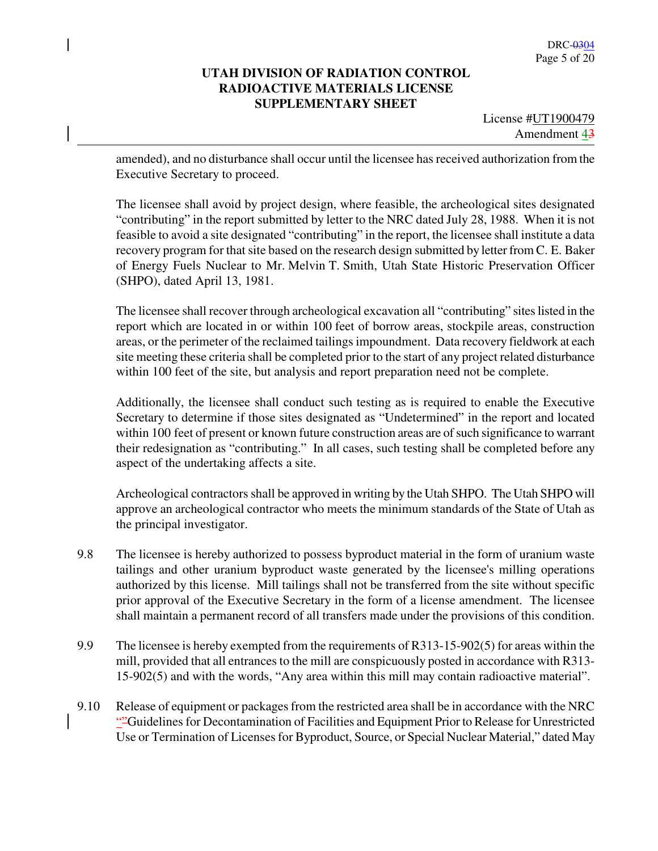License #UT1900479 Amendment 43

amended), and no disturbance shall occur until the licensee has received authorization from the Executive Secretary to proceed.

The licensee shall avoid by project design, where feasible, the archeological sites designated "contributing" in the report submitted by letter to the NRC dated July 28, 1988. When it is not feasible to avoid a site designated "contributing" in the report, the licensee shall institute a data recovery program for that site based on the research design submitted by letter from C. E. Baker of Energy Fuels Nuclear to Mr. Melvin T. Smith, Utah State Historic Preservation Officer (SHPO), dated April 13, 1981.

The licensee shall recover through archeological excavation all "contributing" sites listed in the report which are located in or within 100 feet of borrow areas, stockpile areas, construction areas, or the perimeter of the reclaimed tailings impoundment. Data recovery fieldwork at each site meeting these criteria shall be completed prior to the start of any project related disturbance within 100 feet of the site, but analysis and report preparation need not be complete.

Additionally, the licensee shall conduct such testing as is required to enable the Executive Secretary to determine if those sites designated as "Undetermined" in the report and located within 100 feet of present or known future construction areas are of such significance to warrant their redesignation as "contributing." In all cases, such testing shall be completed before any aspect of the undertaking affects a site.

Archeological contractors shall be approved in writing by the Utah SHPO. The Utah SHPO will approve an archeological contractor who meets the minimum standards of the State of Utah as the principal investigator.

- 9.8 The licensee is hereby authorized to possess byproduct material in the form of uranium waste tailings and other uranium byproduct waste generated by the licensee's milling operations authorized by this license. Mill tailings shall not be transferred from the site without specific prior approval of the Executive Secretary in the form of a license amendment. The licensee shall maintain a permanent record of all transfers made under the provisions of this condition.
- 9.9 The licensee is hereby exempted from the requirements of R313-15-902(5) for areas within the mill, provided that all entrances to the mill are conspicuously posted in accordance with R313- 15-902(5) and with the words, "Any area within this mill may contain radioactive material".
- 9.10 Release of equipment or packages from the restricted area shall be in accordance with the NRC ""Guidelines for Decontamination of Facilities and Equipment Prior to Release for Unrestricted Use or Termination of Licenses for Byproduct, Source, or Special Nuclear Material," dated May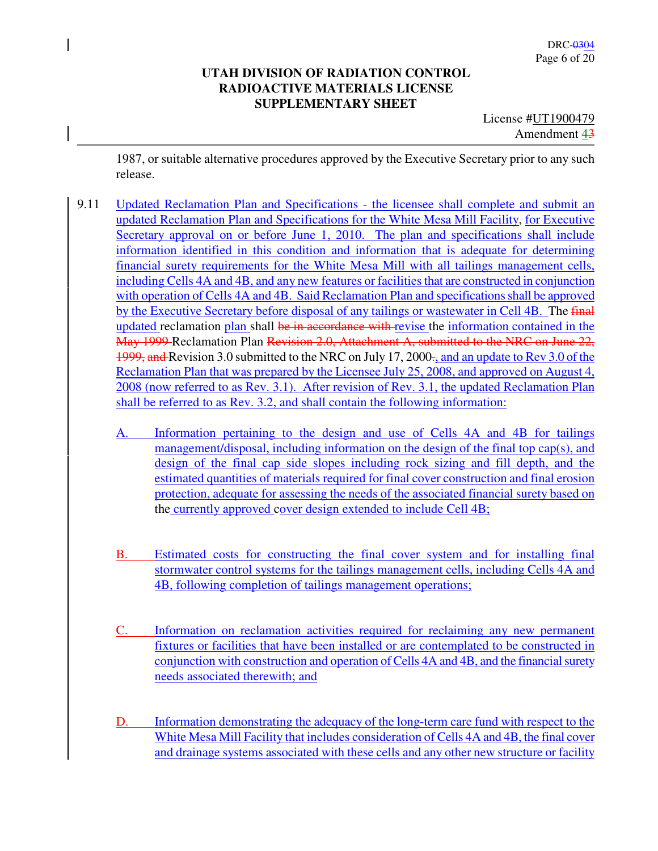License #UT1900479 Amendment 43

1987, or suitable alternative procedures approved by the Executive Secretary prior to any such release.

- 9.11 Updated Reclamation Plan and Specifications the licensee shall complete and submit an updated Reclamation Plan and Specifications for the White Mesa Mill Facility, for Executive Secretary approval on or before June 1, 2010. The plan and specifications shall include information identified in this condition and information that is adequate for determining financial surety requirements for the White Mesa Mill with all tailings management cells, including Cells 4A and 4B, and any new features or facilities that are constructed in conjunction with operation of Cells 4A and 4B. Said Reclamation Plan and specifications shall be approved by the Executive Secretary before disposal of any tailings or wastewater in Cell 4B. The final updated reclamation plan shall be in accordance with revise the information contained in the May 1999 Reclamation Plan Revision 2.0, Attachment A, submitted to the NRC on June 22, 1999, and Revision 3.0 submitted to the NRC on July 17, 2000., and an update to Rev 3.0 of the Reclamation Plan that was prepared by the Licensee July 25, 2008, and approved on August 4, 2008 (now referred to as Rev. 3.1). After revision of Rev. 3.1, the updated Reclamation Plan shall be referred to as Rev. 3.2, and shall contain the following information:
	- A. Information pertaining to the design and use of Cells 4A and 4B for tailings management/disposal, including information on the design of the final top cap(s), and design of the final cap side slopes including rock sizing and fill depth, and the estimated quantities of materials required for final cover construction and final erosion protection, adequate for assessing the needs of the associated financial surety based on the currently approved cover design extended to include Cell 4B;
	- B. Estimated costs for constructing the final cover system and for installing final stormwater control systems for the tailings management cells, including Cells 4A and 4B, following completion of tailings management operations;
	- C. Information on reclamation activities required for reclaiming any new permanent fixtures or facilities that have been installed or are contemplated to be constructed in conjunction with construction and operation of Cells 4A and 4B, and the financial surety needs associated therewith; and
	- D. Information demonstrating the adequacy of the long-term care fund with respect to the White Mesa Mill Facility that includes consideration of Cells 4A and 4B, the final cover and drainage systems associated with these cells and any other new structure or facility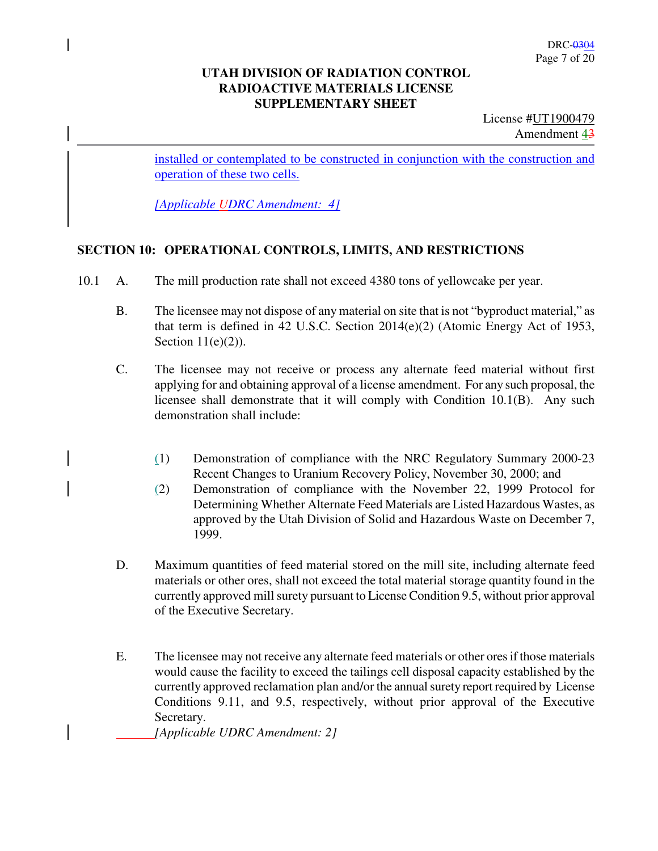License #UT1900479 Amendment 43

installed or contemplated to be constructed in conjunction with the construction and operation of these two cells.

*[Applicable UDRC Amendment: 4]*

#### **SECTION 10: OPERATIONAL CONTROLS, LIMITS, AND RESTRICTIONS**

- 10.1 A. The mill production rate shall not exceed 4380 tons of yellowcake per year.
	- B. The licensee may not dispose of any material on site that is not "byproduct material," as that term is defined in 42 U.S.C. Section 2014(e)(2) (Atomic Energy Act of 1953, Section  $11(e)(2)$ ).
	- C. The licensee may not receive or process any alternate feed material without first applying for and obtaining approval of a license amendment. For any such proposal, the licensee shall demonstrate that it will comply with Condition 10.1(B). Any such demonstration shall include:
		- (1) Demonstration of compliance with the NRC Regulatory Summary 2000-23 Recent Changes to Uranium Recovery Policy, November 30, 2000; and
		- (2) Demonstration of compliance with the November 22, 1999 Protocol for Determining Whether Alternate Feed Materials are Listed Hazardous Wastes, as approved by the Utah Division of Solid and Hazardous Waste on December 7, 1999.
	- D. Maximum quantities of feed material stored on the mill site, including alternate feed materials or other ores, shall not exceed the total material storage quantity found in the currently approved mill surety pursuant to License Condition 9.5, without prior approval of the Executive Secretary.
	- E. The licensee may not receive any alternate feed materials or other ores if those materials would cause the facility to exceed the tailings cell disposal capacity established by the currently approved reclamation plan and/or the annual surety report required by License Conditions 9.11, and 9.5, respectively, without prior approval of the Executive Secretary.

 *[Applicable UDRC Amendment: 2]*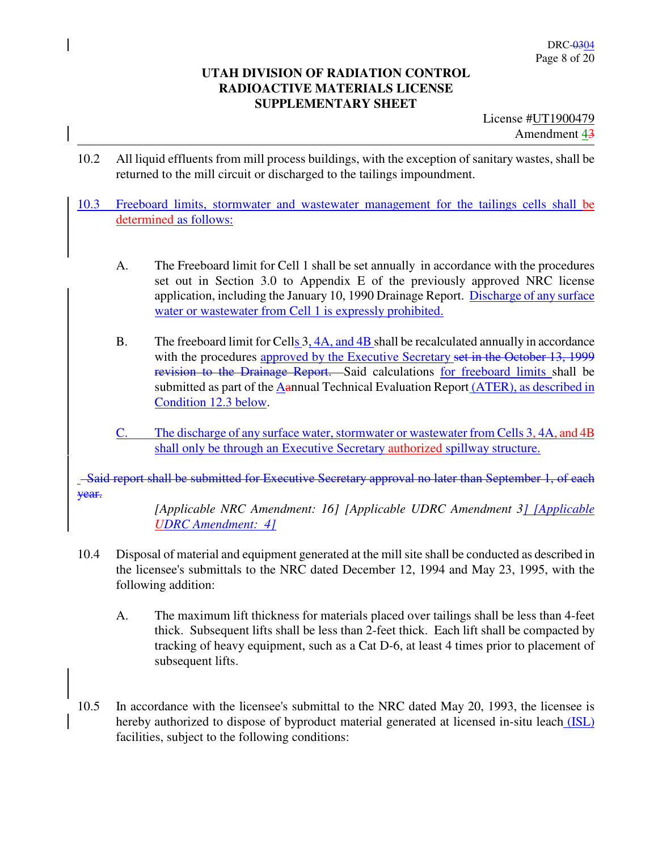License #UT1900479 Amendment 43

- 10.2 All liquid effluents from mill process buildings, with the exception of sanitary wastes, shall be returned to the mill circuit or discharged to the tailings impoundment.
- 10.3 Freeboard limits, stormwater and wastewater management for the tailings cells shall be determined as follows:
	- A. The Freeboard limit for Cell 1 shall be set annually in accordance with the procedures set out in Section 3.0 to Appendix E of the previously approved NRC license application, including the January 10, 1990 Drainage Report. Discharge of any surface water or wastewater from Cell 1 is expressly prohibited.
	- B. The freeboard limit for Cells 3, 4A, and 4B shall be recalculated annually in accordance with the procedures approved by the Executive Secretary set in the October 13, 1999 revision to the Drainage Report. Said calculations for freeboard limits shall be submitted as part of the Aannual Technical Evaluation Report (ATER), as described in Condition 12.3 below.
	- C. The discharge of any surface water, stormwater or wastewater from Cells 3, 4A, and 4B shall only be through an Executive Secretary authorized spillway structure.

 Said report shall be submitted for Executive Secretary approval no later than September 1, of each year.

> *[Applicable NRC Amendment: 16] [Applicable UDRC Amendment 3] [Applicable UDRC Amendment: 4]*

- 10.4 Disposal of material and equipment generated at the mill site shall be conducted as described in the licensee's submittals to the NRC dated December 12, 1994 and May 23, 1995, with the following addition:
	- A. The maximum lift thickness for materials placed over tailings shall be less than 4-feet thick. Subsequent lifts shall be less than 2-feet thick. Each lift shall be compacted by tracking of heavy equipment, such as a Cat D-6, at least 4 times prior to placement of subsequent lifts.
- 10.5 In accordance with the licensee's submittal to the NRC dated May 20, 1993, the licensee is hereby authorized to dispose of byproduct material generated at licensed in-situ leach (ISL) facilities, subject to the following conditions: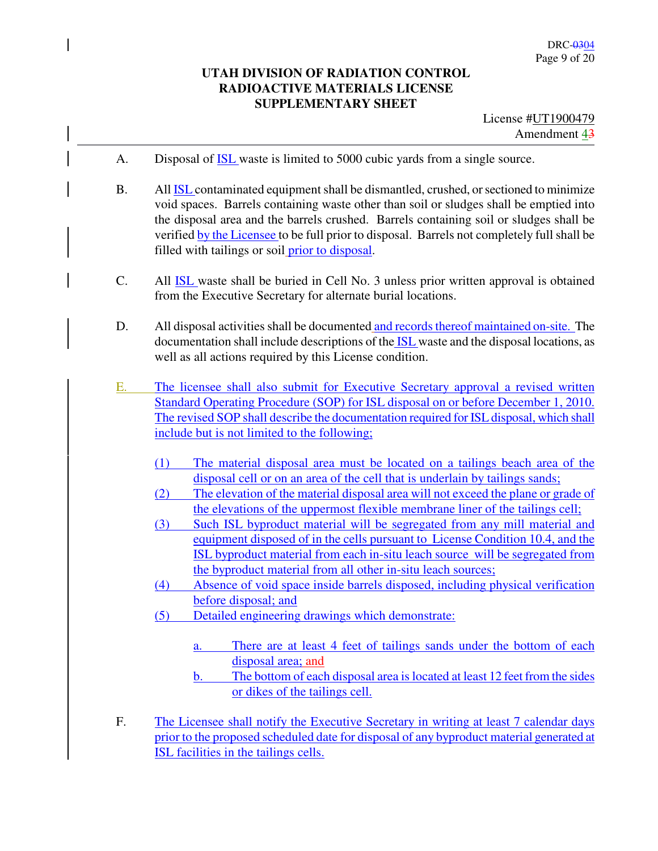- A. Disposal of ISL waste is limited to 5000 cubic yards from a single source.
- B. All ISL contaminated equipment shall be dismantled, crushed, or sectioned to minimize void spaces. Barrels containing waste other than soil or sludges shall be emptied into the disposal area and the barrels crushed. Barrels containing soil or sludges shall be verified by the Licensee to be full prior to disposal. Barrels not completely full shall be filled with tailings or soil prior to disposal.
- C. All ISL waste shall be buried in Cell No. 3 unless prior written approval is obtained from the Executive Secretary for alternate burial locations.
- D. All disposal activities shall be documented and records thereof maintained on-site. The documentation shall include descriptions of the **ISL** waste and the disposal locations, as well as all actions required by this License condition.
- E. The licensee shall also submit for Executive Secretary approval a revised written Standard Operating Procedure (SOP) for ISL disposal on or before December 1, 2010. The revised SOP shall describe the documentation required for ISL disposal, which shall include but is not limited to the following;
	- (1) The material disposal area must be located on a tailings beach area of the disposal cell or on an area of the cell that is underlain by tailings sands;
	- (2) The elevation of the material disposal area will not exceed the plane or grade of the elevations of the uppermost flexible membrane liner of the tailings cell;
	- (3) Such ISL byproduct material will be segregated from any mill material and equipment disposed of in the cells pursuant to License Condition 10.4, and the ISL byproduct material from each in-situ leach source will be segregated from the byproduct material from all other in-situ leach sources;
	- (4) Absence of void space inside barrels disposed, including physical verification before disposal; and
	- (5) Detailed engineering drawings which demonstrate:
		- a. There are at least 4 feet of tailings sands under the bottom of each disposal area; and
		- b. The bottom of each disposal area is located at least 12 feet from the sides or dikes of the tailings cell.
- F. The Licensee shall notify the Executive Secretary in writing at least 7 calendar days prior to the proposed scheduled date for disposal of any byproduct material generated at ISL facilities in the tailings cells.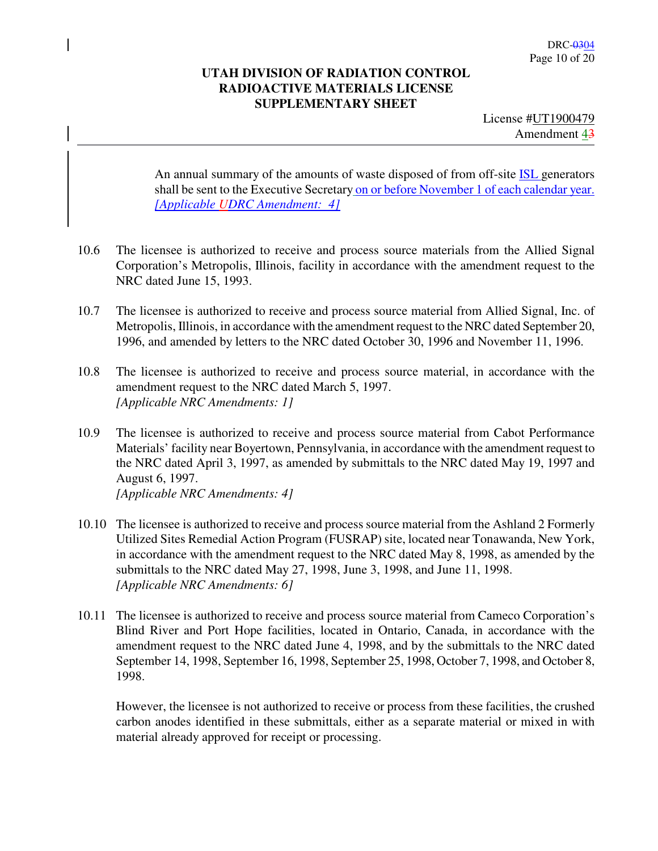License #UT1900479 Amendment 43

An annual summary of the amounts of waste disposed of from off-site **ISL** generators shall be sent to the Executive Secretary on or before November 1 of each calendar year. *[Applicable UDRC Amendment: 4]*

- 10.6 The licensee is authorized to receive and process source materials from the Allied Signal Corporation's Metropolis, Illinois, facility in accordance with the amendment request to the NRC dated June 15, 1993.
- 10.7 The licensee is authorized to receive and process source material from Allied Signal, Inc. of Metropolis, Illinois, in accordance with the amendment request to the NRC dated September 20, 1996, and amended by letters to the NRC dated October 30, 1996 and November 11, 1996.
- 10.8 The licensee is authorized to receive and process source material, in accordance with the amendment request to the NRC dated March 5, 1997. *[Applicable NRC Amendments: 1]*
- 10.9 The licensee is authorized to receive and process source material from Cabot Performance Materials' facility near Boyertown, Pennsylvania, in accordance with the amendment request to the NRC dated April 3, 1997, as amended by submittals to the NRC dated May 19, 1997 and August 6, 1997. *[Applicable NRC Amendments: 4]*
- 10.10 The licensee is authorized to receive and process source material from the Ashland 2 Formerly Utilized Sites Remedial Action Program (FUSRAP) site, located near Tonawanda, New York, in accordance with the amendment request to the NRC dated May 8, 1998, as amended by the submittals to the NRC dated May 27, 1998, June 3, 1998, and June 11, 1998. *[Applicable NRC Amendments: 6]*
- 10.11 The licensee is authorized to receive and process source material from Cameco Corporation's Blind River and Port Hope facilities, located in Ontario, Canada, in accordance with the amendment request to the NRC dated June 4, 1998, and by the submittals to the NRC dated September 14, 1998, September 16, 1998, September 25, 1998, October 7, 1998, and October 8, 1998.

However, the licensee is not authorized to receive or process from these facilities, the crushed carbon anodes identified in these submittals, either as a separate material or mixed in with material already approved for receipt or processing.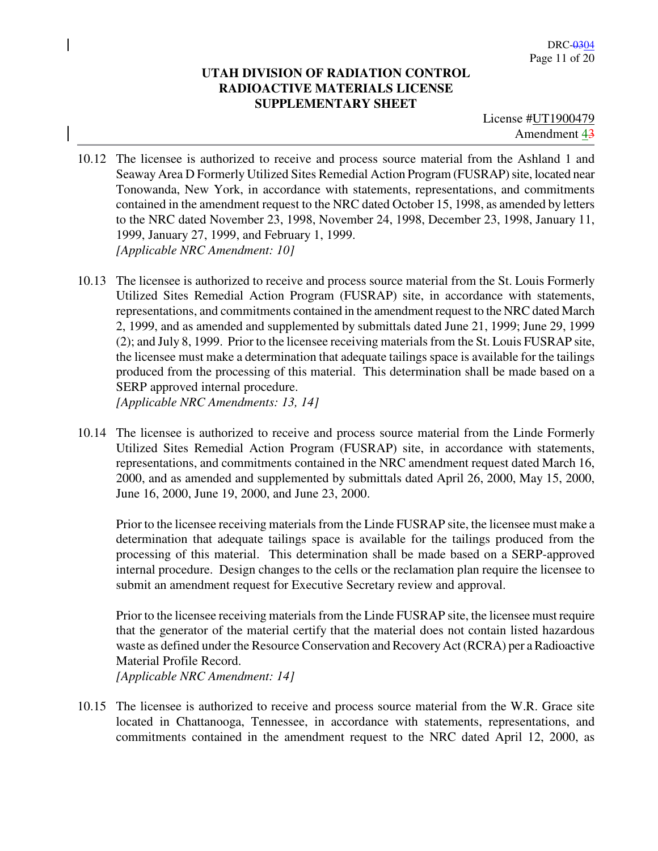License #UT1900479 Amendment 43

- 10.12 The licensee is authorized to receive and process source material from the Ashland 1 and Seaway Area D Formerly Utilized Sites Remedial Action Program (FUSRAP) site, located near Tonowanda, New York, in accordance with statements, representations, and commitments contained in the amendment request to the NRC dated October 15, 1998, as amended by letters to the NRC dated November 23, 1998, November 24, 1998, December 23, 1998, January 11, 1999, January 27, 1999, and February 1, 1999. *[Applicable NRC Amendment: 10]*
- 10.13 The licensee is authorized to receive and process source material from the St. Louis Formerly Utilized Sites Remedial Action Program (FUSRAP) site, in accordance with statements, representations, and commitments contained in the amendment request to the NRC dated March 2, 1999, and as amended and supplemented by submittals dated June 21, 1999; June 29, 1999 (2); and July 8, 1999. Prior to the licensee receiving materials from the St. Louis FUSRAP site, the licensee must make a determination that adequate tailings space is available for the tailings produced from the processing of this material. This determination shall be made based on a SERP approved internal procedure. *[Applicable NRC Amendments: 13, 14]*
- 10.14 The licensee is authorized to receive and process source material from the Linde Formerly Utilized Sites Remedial Action Program (FUSRAP) site, in accordance with statements, representations, and commitments contained in the NRC amendment request dated March 16, 2000, and as amended and supplemented by submittals dated April 26, 2000, May 15, 2000, June 16, 2000, June 19, 2000, and June 23, 2000.

Prior to the licensee receiving materials from the Linde FUSRAP site, the licensee must make a determination that adequate tailings space is available for the tailings produced from the processing of this material. This determination shall be made based on a SERP-approved internal procedure. Design changes to the cells or the reclamation plan require the licensee to submit an amendment request for Executive Secretary review and approval.

Prior to the licensee receiving materials from the Linde FUSRAP site, the licensee must require that the generator of the material certify that the material does not contain listed hazardous waste as defined under the Resource Conservation and Recovery Act (RCRA) per a Radioactive Material Profile Record.

*[Applicable NRC Amendment: 14]* 

10.15 The licensee is authorized to receive and process source material from the W.R. Grace site located in Chattanooga, Tennessee, in accordance with statements, representations, and commitments contained in the amendment request to the NRC dated April 12, 2000, as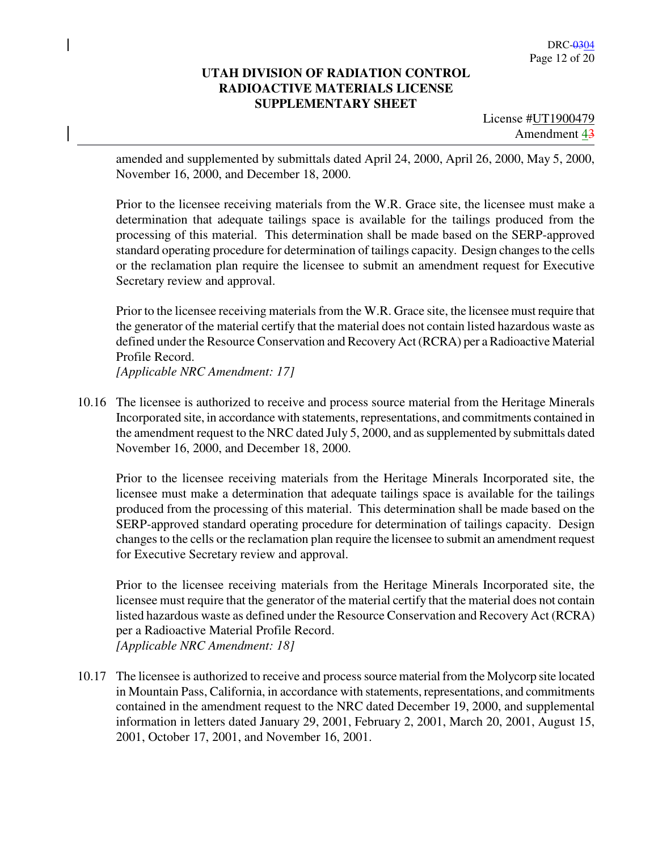License #UT1900479 Amendment 43

amended and supplemented by submittals dated April 24, 2000, April 26, 2000, May 5, 2000, November 16, 2000, and December 18, 2000.

Prior to the licensee receiving materials from the W.R. Grace site, the licensee must make a determination that adequate tailings space is available for the tailings produced from the processing of this material. This determination shall be made based on the SERP-approved standard operating procedure for determination of tailings capacity. Design changes to the cells or the reclamation plan require the licensee to submit an amendment request for Executive Secretary review and approval.

Prior to the licensee receiving materials from the W.R. Grace site, the licensee must require that the generator of the material certify that the material does not contain listed hazardous waste as defined under the Resource Conservation and Recovery Act (RCRA) per a Radioactive Material Profile Record.

*[Applicable NRC Amendment: 17]* 

10.16 The licensee is authorized to receive and process source material from the Heritage Minerals Incorporated site, in accordance with statements, representations, and commitments contained in the amendment request to the NRC dated July 5, 2000, and as supplemented by submittals dated November 16, 2000, and December 18, 2000.

Prior to the licensee receiving materials from the Heritage Minerals Incorporated site, the licensee must make a determination that adequate tailings space is available for the tailings produced from the processing of this material. This determination shall be made based on the SERP-approved standard operating procedure for determination of tailings capacity. Design changes to the cells or the reclamation plan require the licensee to submit an amendment request for Executive Secretary review and approval.

Prior to the licensee receiving materials from the Heritage Minerals Incorporated site, the licensee must require that the generator of the material certify that the material does not contain listed hazardous waste as defined under the Resource Conservation and Recovery Act (RCRA) per a Radioactive Material Profile Record. *[Applicable NRC Amendment: 18]* 

10.17 The licensee is authorized to receive and process source material from the Molycorp site located in Mountain Pass, California, in accordance with statements, representations, and commitments contained in the amendment request to the NRC dated December 19, 2000, and supplemental information in letters dated January 29, 2001, February 2, 2001, March 20, 2001, August 15, 2001, October 17, 2001, and November 16, 2001.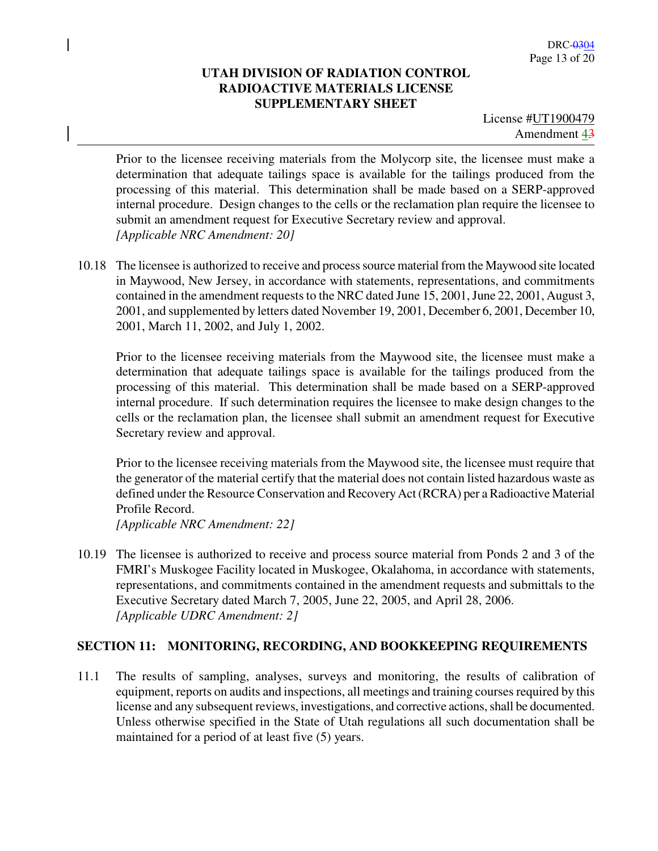License #UT1900479 Amendment 43

Prior to the licensee receiving materials from the Molycorp site, the licensee must make a determination that adequate tailings space is available for the tailings produced from the processing of this material. This determination shall be made based on a SERP-approved internal procedure. Design changes to the cells or the reclamation plan require the licensee to submit an amendment request for Executive Secretary review and approval. *[Applicable NRC Amendment: 20]* 

10.18 The licensee is authorized to receive and process source material from the Maywood site located in Maywood, New Jersey, in accordance with statements, representations, and commitments contained in the amendment requests to the NRC dated June 15, 2001, June 22, 2001, August 3, 2001, and supplemented by letters dated November 19, 2001, December 6, 2001, December 10, 2001, March 11, 2002, and July 1, 2002.

Prior to the licensee receiving materials from the Maywood site, the licensee must make a determination that adequate tailings space is available for the tailings produced from the processing of this material. This determination shall be made based on a SERP-approved internal procedure. If such determination requires the licensee to make design changes to the cells or the reclamation plan, the licensee shall submit an amendment request for Executive Secretary review and approval.

Prior to the licensee receiving materials from the Maywood site, the licensee must require that the generator of the material certify that the material does not contain listed hazardous waste as defined under the Resource Conservation and Recovery Act (RCRA) per a Radioactive Material Profile Record.

*[Applicable NRC Amendment: 22]* 

10.19 The licensee is authorized to receive and process source material from Ponds 2 and 3 of the FMRI's Muskogee Facility located in Muskogee, Okalahoma, in accordance with statements, representations, and commitments contained in the amendment requests and submittals to the Executive Secretary dated March 7, 2005, June 22, 2005, and April 28, 2006. *[Applicable UDRC Amendment: 2]* 

### **SECTION 11: MONITORING, RECORDING, AND BOOKKEEPING REQUIREMENTS**

11.1 The results of sampling, analyses, surveys and monitoring, the results of calibration of equipment, reports on audits and inspections, all meetings and training courses required by this license and any subsequent reviews, investigations, and corrective actions, shall be documented. Unless otherwise specified in the State of Utah regulations all such documentation shall be maintained for a period of at least five (5) years.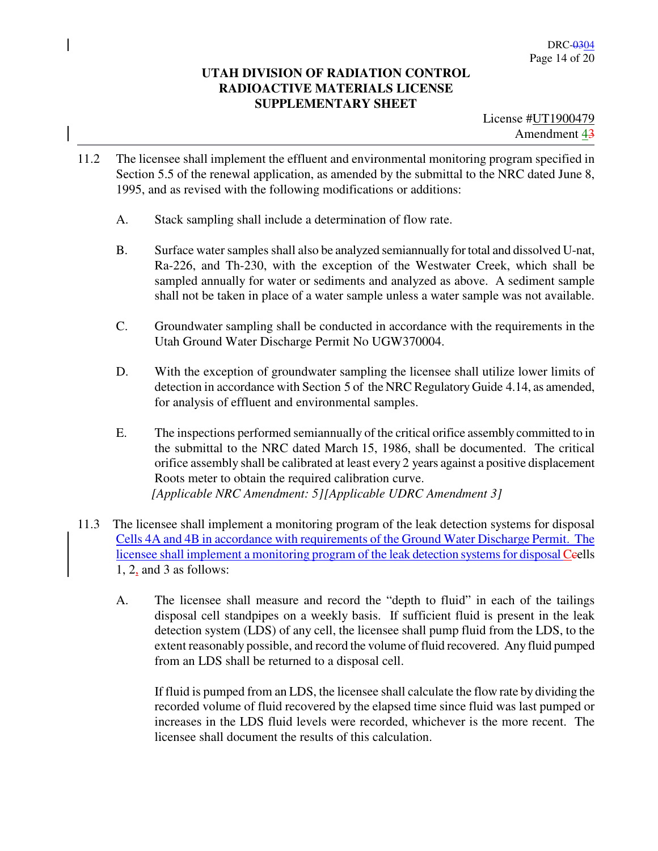- 11.2 The licensee shall implement the effluent and environmental monitoring program specified in Section 5.5 of the renewal application, as amended by the submittal to the NRC dated June 8, 1995, and as revised with the following modifications or additions:
	- A. Stack sampling shall include a determination of flow rate.
	- B. Surface water samples shall also be analyzed semiannually for total and dissolved U-nat, Ra-226, and Th-230, with the exception of the Westwater Creek, which shall be sampled annually for water or sediments and analyzed as above. A sediment sample shall not be taken in place of a water sample unless a water sample was not available.
	- C. Groundwater sampling shall be conducted in accordance with the requirements in the Utah Ground Water Discharge Permit No UGW370004.
	- D. With the exception of groundwater sampling the licensee shall utilize lower limits of detection in accordance with Section 5 of the NRC Regulatory Guide 4.14, as amended, for analysis of effluent and environmental samples.
	- E. The inspections performed semiannually of the critical orifice assembly committed to in the submittal to the NRC dated March 15, 1986, shall be documented. The critical orifice assembly shall be calibrated at least every 2 years against a positive displacement Roots meter to obtain the required calibration curve.  *[Applicable NRC Amendment: 5][Applicable UDRC Amendment 3]*
- 11.3 The licensee shall implement a monitoring program of the leak detection systems for disposal Cells 4A and 4B in accordance with requirements of the Ground Water Discharge Permit. The licensee shall implement a monitoring program of the leak detection systems for disposal Ceells 1, 2, and 3 as follows:
	- A. The licensee shall measure and record the "depth to fluid" in each of the tailings disposal cell standpipes on a weekly basis. If sufficient fluid is present in the leak detection system (LDS) of any cell, the licensee shall pump fluid from the LDS, to the extent reasonably possible, and record the volume of fluid recovered. Any fluid pumped from an LDS shall be returned to a disposal cell.

If fluid is pumped from an LDS, the licensee shall calculate the flow rate by dividing the recorded volume of fluid recovered by the elapsed time since fluid was last pumped or increases in the LDS fluid levels were recorded, whichever is the more recent. The licensee shall document the results of this calculation.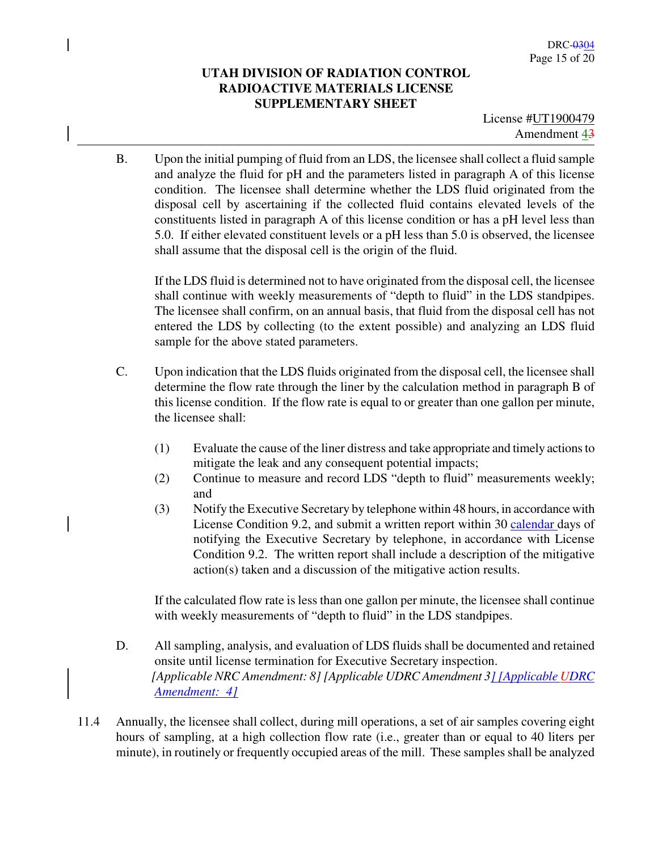License #UT1900479 Amendment 43

B. Upon the initial pumping of fluid from an LDS, the licensee shall collect a fluid sample and analyze the fluid for pH and the parameters listed in paragraph A of this license condition. The licensee shall determine whether the LDS fluid originated from the disposal cell by ascertaining if the collected fluid contains elevated levels of the constituents listed in paragraph A of this license condition or has a pH level less than 5.0. If either elevated constituent levels or a pH less than 5.0 is observed, the licensee shall assume that the disposal cell is the origin of the fluid.

If the LDS fluid is determined not to have originated from the disposal cell, the licensee shall continue with weekly measurements of "depth to fluid" in the LDS standpipes. The licensee shall confirm, on an annual basis, that fluid from the disposal cell has not entered the LDS by collecting (to the extent possible) and analyzing an LDS fluid sample for the above stated parameters.

- C. Upon indication that the LDS fluids originated from the disposal cell, the licensee shall determine the flow rate through the liner by the calculation method in paragraph B of this license condition. If the flow rate is equal to or greater than one gallon per minute, the licensee shall:
	- (1) Evaluate the cause of the liner distress and take appropriate and timely actions to mitigate the leak and any consequent potential impacts;
	- (2) Continue to measure and record LDS "depth to fluid" measurements weekly; and
	- (3) Notify the Executive Secretary by telephone within 48 hours, in accordance with License Condition 9.2, and submit a written report within 30 calendar days of notifying the Executive Secretary by telephone, in accordance with License Condition 9.2. The written report shall include a description of the mitigative action(s) taken and a discussion of the mitigative action results.

If the calculated flow rate is less than one gallon per minute, the licensee shall continue with weekly measurements of "depth to fluid" in the LDS standpipes.

- D. All sampling, analysis, and evaluation of LDS fluids shall be documented and retained onsite until license termination for Executive Secretary inspection.  *[Applicable NRC Amendment: 8] [Applicable UDRC Amendment 3] [Applicable UDRC Amendment: 4]*
- 11.4 Annually, the licensee shall collect, during mill operations, a set of air samples covering eight hours of sampling, at a high collection flow rate (i.e., greater than or equal to 40 liters per minute), in routinely or frequently occupied areas of the mill. These samples shall be analyzed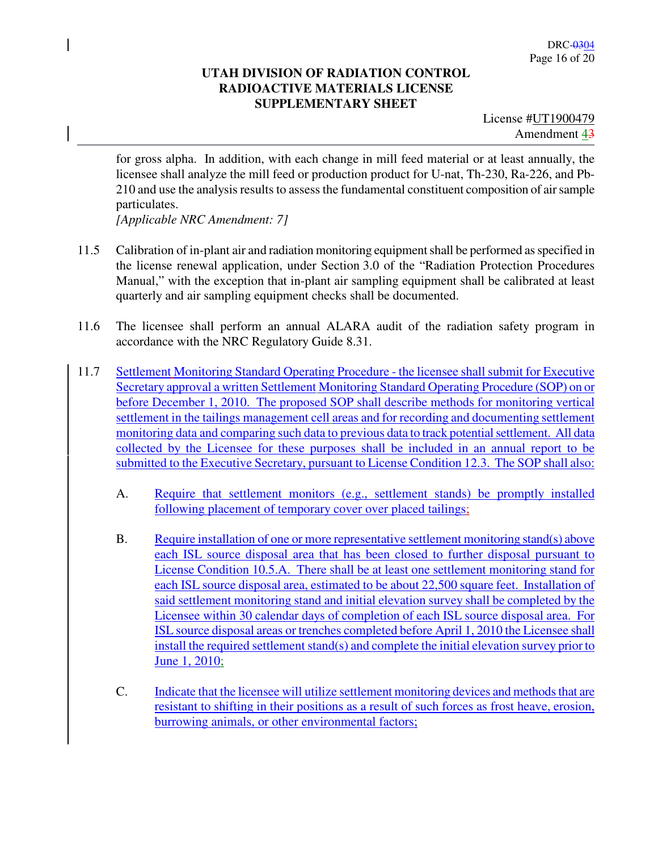License #UT1900479 Amendment 43

for gross alpha. In addition, with each change in mill feed material or at least annually, the licensee shall analyze the mill feed or production product for U-nat, Th-230, Ra-226, and Pb-210 and use the analysis results to assess the fundamental constituent composition of air sample particulates.

*[Applicable NRC Amendment: 7]* 

- 11.5 Calibration of in-plant air and radiation monitoring equipment shall be performed as specified in the license renewal application, under Section 3.0 of the "Radiation Protection Procedures Manual," with the exception that in-plant air sampling equipment shall be calibrated at least quarterly and air sampling equipment checks shall be documented.
- 11.6 The licensee shall perform an annual ALARA audit of the radiation safety program in accordance with the NRC Regulatory Guide 8.31.
- 11.7 Settlement Monitoring Standard Operating Procedure the licensee shall submit for Executive Secretary approval a written Settlement Monitoring Standard Operating Procedure (SOP) on or before December 1, 2010. The proposed SOP shall describe methods for monitoring vertical settlement in the tailings management cell areas and for recording and documenting settlement monitoring data and comparing such data to previous data to track potential settlement. All data collected by the Licensee for these purposes shall be included in an annual report to be submitted to the Executive Secretary, pursuant to License Condition 12.3. The SOP shall also:
	- A. Require that settlement monitors (e.g., settlement stands) be promptly installed following placement of temporary cover over placed tailings;
	- B. Require installation of one or more representative settlement monitoring stand(s) above each ISL source disposal area that has been closed to further disposal pursuant to License Condition 10.5.A. There shall be at least one settlement monitoring stand for each ISL source disposal area, estimated to be about 22,500 square feet. Installation of said settlement monitoring stand and initial elevation survey shall be completed by the Licensee within 30 calendar days of completion of each ISL source disposal area. For ISL source disposal areas or trenches completed before April 1, 2010 the Licensee shall install the required settlement stand(s) and complete the initial elevation survey prior to June 1, 2010;
	- C. Indicate that the licensee will utilize settlement monitoring devices and methods that are resistant to shifting in their positions as a result of such forces as frost heave, erosion, burrowing animals, or other environmental factors;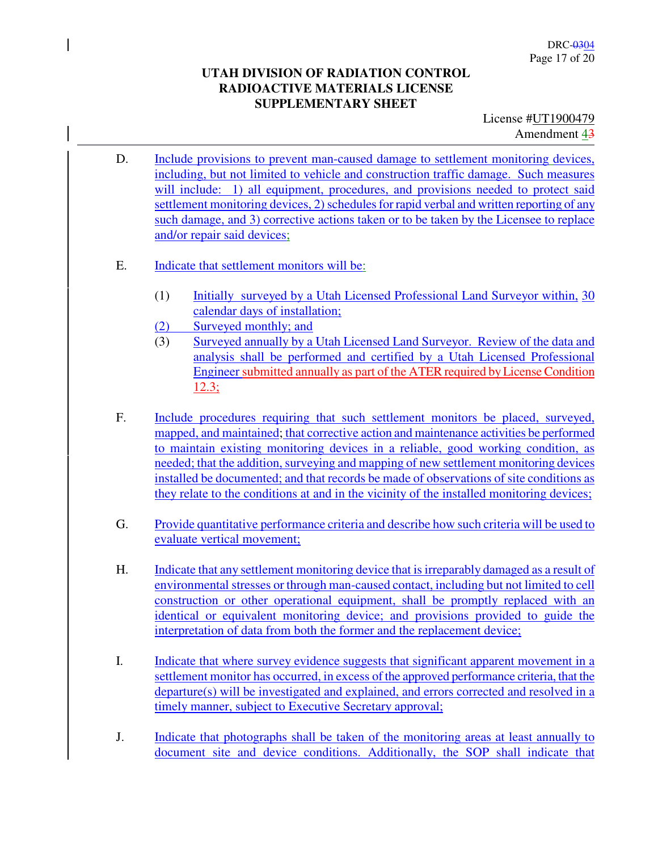License #UT1900479 Amendment 43

- D. Include provisions to prevent man-caused damage to settlement monitoring devices, including, but not limited to vehicle and construction traffic damage. Such measures will include: 1) all equipment, procedures, and provisions needed to protect said settlement monitoring devices, 2) schedules for rapid verbal and written reporting of any such damage, and 3) corrective actions taken or to be taken by the Licensee to replace and/or repair said devices;
- E. Indicate that settlement monitors will be:
	- (1) Initially surveyed by a Utah Licensed Professional Land Surveyor within, 30 calendar days of installation;
	- (2) Surveyed monthly; and
	- (3) Surveyed annually by a Utah Licensed Land Surveyor. Review of the data and analysis shall be performed and certified by a Utah Licensed Professional Engineer submitted annually as part of the ATER required by License Condition 12.3;
- F. Include procedures requiring that such settlement monitors be placed, surveyed, mapped, and maintained; that corrective action and maintenance activities be performed to maintain existing monitoring devices in a reliable, good working condition, as needed; that the addition, surveying and mapping of new settlement monitoring devices installed be documented; and that records be made of observations of site conditions as they relate to the conditions at and in the vicinity of the installed monitoring devices;
- G. Provide quantitative performance criteria and describe how such criteria will be used to evaluate vertical movement;
- H. Indicate that any settlement monitoring device that is irreparably damaged as a result of environmental stresses or through man-caused contact, including but not limited to cell construction or other operational equipment, shall be promptly replaced with an identical or equivalent monitoring device; and provisions provided to guide the interpretation of data from both the former and the replacement device;
- I. Indicate that where survey evidence suggests that significant apparent movement in a settlement monitor has occurred, in excess of the approved performance criteria, that the departure(s) will be investigated and explained, and errors corrected and resolved in a timely manner, subject to Executive Secretary approval;
- J. Indicate that photographs shall be taken of the monitoring areas at least annually to document site and device conditions. Additionally, the SOP shall indicate that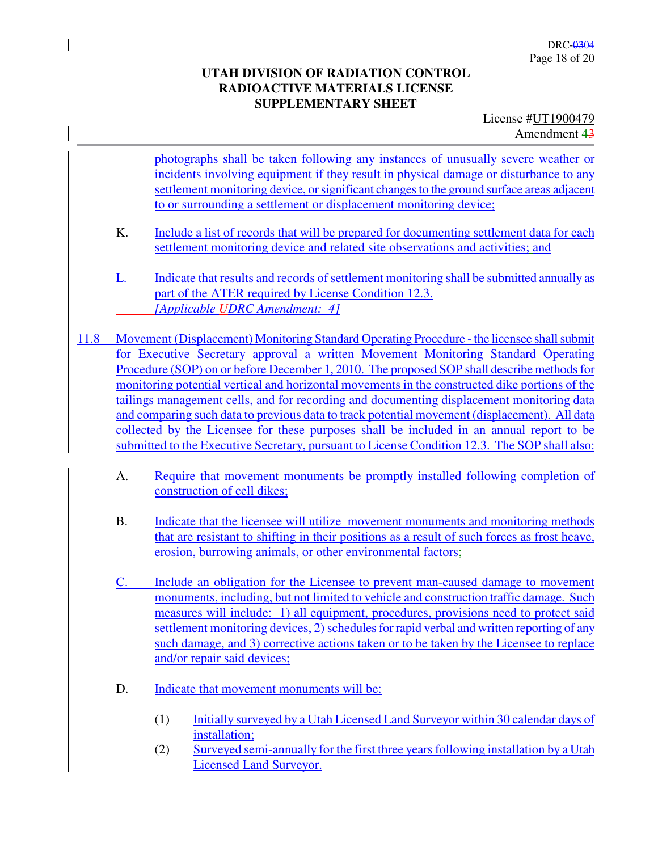License #UT1900479 Amendment 43

photographs shall be taken following any instances of unusually severe weather or incidents involving equipment if they result in physical damage or disturbance to any settlement monitoring device, or significant changes to the ground surface areas adjacent to or surrounding a settlement or displacement monitoring device;

K. Include a list of records that will be prepared for documenting settlement data for each settlement monitoring device and related site observations and activities; and

L. Indicate that results and records of settlement monitoring shall be submitted annually as part of the ATER required by License Condition 12.3. *[Applicable UDRC Amendment: 4]*

- 11.8 Movement (Displacement) Monitoring Standard Operating Procedure the licensee shall submit for Executive Secretary approval a written Movement Monitoring Standard Operating Procedure (SOP) on or before December 1, 2010. The proposed SOP shall describe methods for monitoring potential vertical and horizontal movements in the constructed dike portions of the tailings management cells, and for recording and documenting displacement monitoring data and comparing such data to previous data to track potential movement (displacement). All data collected by the Licensee for these purposes shall be included in an annual report to be submitted to the Executive Secretary, pursuant to License Condition 12.3. The SOP shall also:
	- A. Require that movement monuments be promptly installed following completion of construction of cell dikes;
	- B. Indicate that the licensee will utilize movement monuments and monitoring methods that are resistant to shifting in their positions as a result of such forces as frost heave, erosion, burrowing animals, or other environmental factors;
	- C. Include an obligation for the Licensee to prevent man-caused damage to movement monuments, including, but not limited to vehicle and construction traffic damage. Such measures will include: 1) all equipment, procedures, provisions need to protect said settlement monitoring devices, 2) schedules for rapid verbal and written reporting of any such damage, and 3) corrective actions taken or to be taken by the Licensee to replace and/or repair said devices;
	- D. Indicate that movement monuments will be:
		- (1) Initially surveyed by a Utah Licensed Land Surveyor within 30 calendar days of installation;
		- (2) Surveyed semi-annually for the first three years following installation by a Utah Licensed Land Surveyor.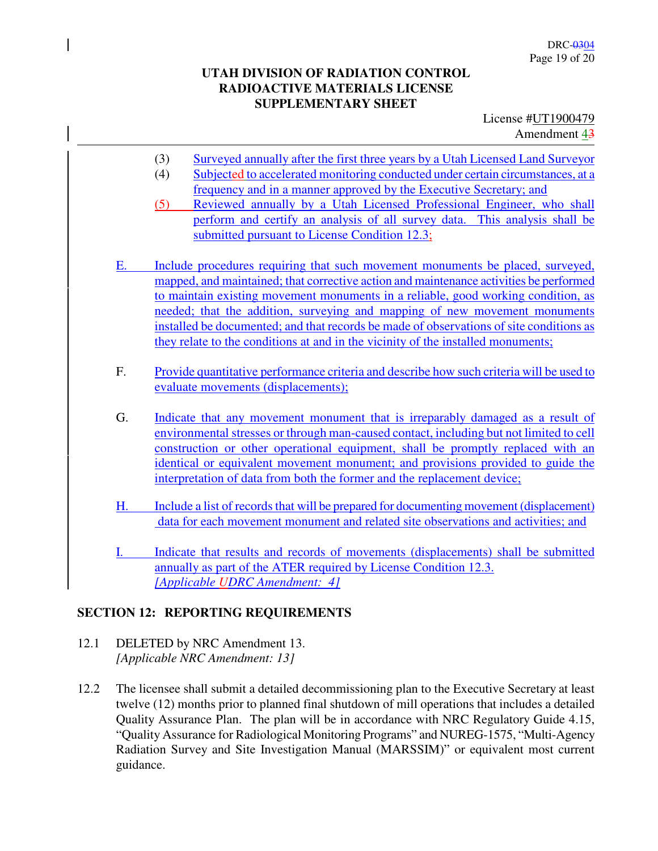License #UT1900479 Amendment 43

- (3) Surveyed annually after the first three years by a Utah Licensed Land Surveyor
- (4) Subjected to accelerated monitoring conducted under certain circumstances, at a frequency and in a manner approved by the Executive Secretary; and
- (5) Reviewed annually by a Utah Licensed Professional Engineer, who shall perform and certify an analysis of all survey data. This analysis shall be submitted pursuant to License Condition 12.3;
- E. Include procedures requiring that such movement monuments be placed, surveyed, mapped, and maintained; that corrective action and maintenance activities be performed to maintain existing movement monuments in a reliable, good working condition, as needed; that the addition, surveying and mapping of new movement monuments installed be documented; and that records be made of observations of site conditions as they relate to the conditions at and in the vicinity of the installed monuments;
- F. Provide quantitative performance criteria and describe how such criteria will be used to evaluate movements (displacements);
- G. Indicate that any movement monument that is irreparably damaged as a result of environmental stresses or through man-caused contact, including but not limited to cell construction or other operational equipment, shall be promptly replaced with an identical or equivalent movement monument; and provisions provided to guide the interpretation of data from both the former and the replacement device;
- H. Include a list of records that will be prepared for documenting movement (displacement) data for each movement monument and related site observations and activities; and
- I. Indicate that results and records of movements (displacements) shall be submitted annually as part of the ATER required by License Condition 12.3. *[Applicable UDRC Amendment: 4]*

### **SECTION 12: REPORTING REQUIREMENTS**

- 12.1 DELETED by NRC Amendment 13. *[Applicable NRC Amendment: 13]*
- 12.2 The licensee shall submit a detailed decommissioning plan to the Executive Secretary at least twelve (12) months prior to planned final shutdown of mill operations that includes a detailed Quality Assurance Plan. The plan will be in accordance with NRC Regulatory Guide 4.15, "Quality Assurance for Radiological Monitoring Programs" and NUREG-1575, "Multi-Agency Radiation Survey and Site Investigation Manual (MARSSIM)" or equivalent most current guidance.